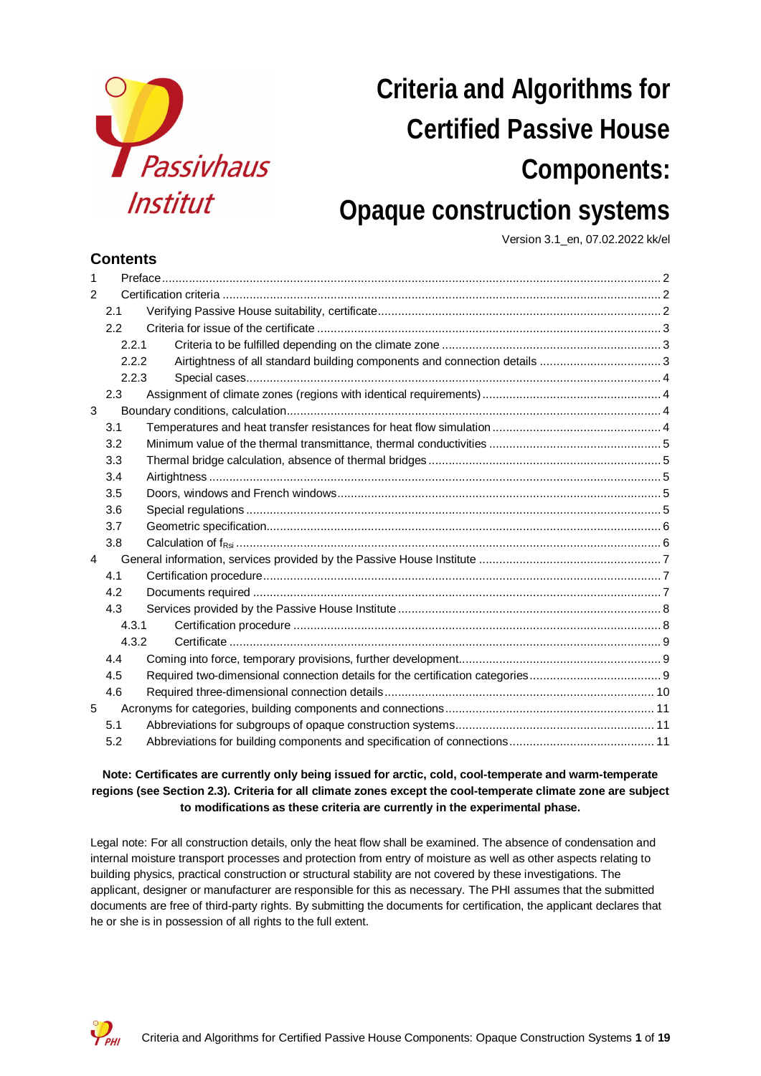

# **Criteria and Algorithms for Certified Passive House Components: Opaque construction systems**

Version 3.1\_en, 07.02.2022 kk/el

## **Contents**

| 1              |       |  |
|----------------|-------|--|
| $\overline{2}$ |       |  |
|                | 2.1   |  |
|                | 2.2   |  |
|                | 2.2.1 |  |
|                | 2.2.2 |  |
|                | 2.2.3 |  |
|                | 2.3   |  |
| 3              |       |  |
|                | 3.1   |  |
|                | 3.2   |  |
|                | 3.3   |  |
|                | 3.4   |  |
|                | 3.5   |  |
|                | 3.6   |  |
|                | 3.7   |  |
|                | 3.8   |  |
| 4              |       |  |
|                | 4.1   |  |
|                | 4.2   |  |
|                | 4.3   |  |
|                | 4.3.1 |  |
|                | 4.3.2 |  |
|                | 4.4   |  |
|                | 4.5   |  |
|                | 4.6   |  |
| 5              |       |  |
|                | 5.1   |  |
|                | 5.2   |  |

#### **Note: Certificates are currently only being issued for arctic, cold, cool-temperate and warm-temperate regions (see Section 2.3). Criteria for all climate zones except the cool-temperate climate zone are subject to modifications as these criteria are currently in the experimental phase.**

Legal note: For all construction details, only the heat flow shall be examined. The absence of condensation and internal moisture transport processes and protection from entry of moisture as well as other aspects relating to building physics, practical construction or structural stability are not covered by these investigations. The applicant, designer or manufacturer are responsible for this as necessary. The PHI assumes that the submitted documents are free of third-party rights. By submitting the documents for certification, the applicant declares that he or she is in possession of all rights to the full extent.

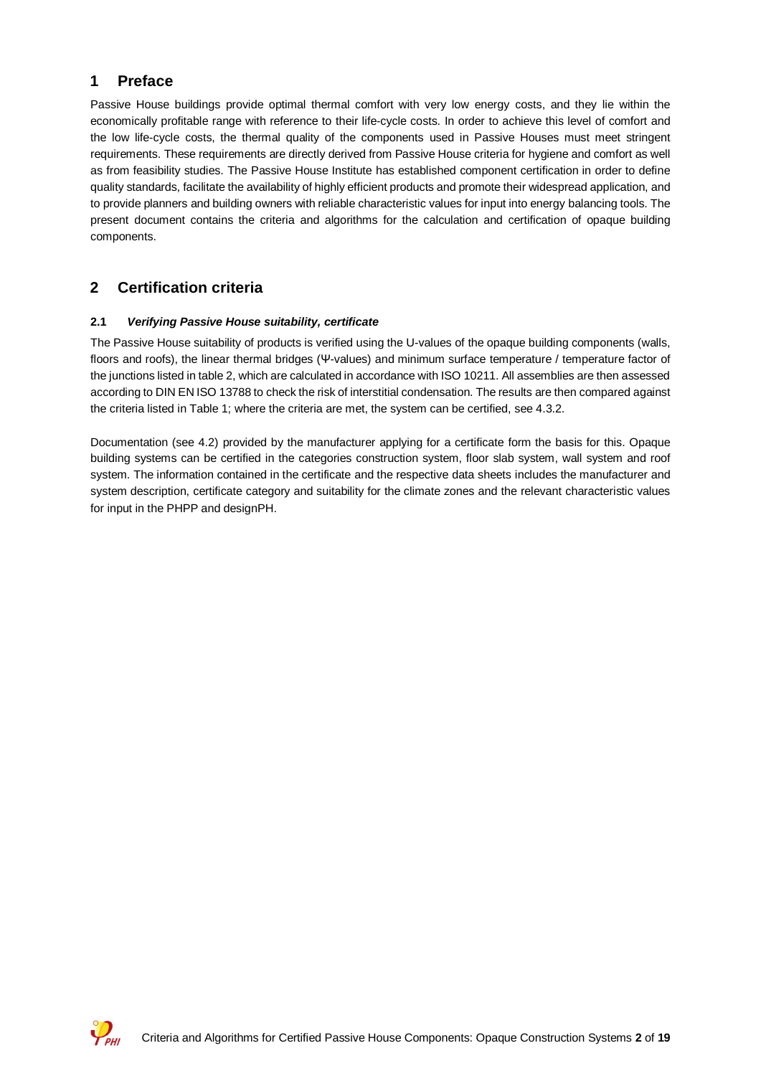## **1 Preface**

Passive House buildings provide optimal thermal comfort with very low energy costs, and they lie within the economically profitable range with reference to their life-cycle costs. In order to achieve this level of comfort and the low life-cycle costs, the thermal quality of the components used in Passive Houses must meet stringent requirements. These requirements are directly derived from Passive House criteria for hygiene and comfort as well as from feasibility studies. The Passive House Institute has established component certification in order to define quality standards, facilitate the availability of highly efficient products and promote their widespread application, and to provide planners and building owners with reliable characteristic values for input into energy balancing tools. The present document contains the criteria and algorithms for the calculation and certification of opaque building components.

## **2 Certification criteria**

#### **2.1** *Verifying Passive House suitability, certificate*

The Passive House suitability of products is verified using the U-values of the opaque building components (walls, floors and roofs), the linear thermal bridges (Ψ-values) and minimum surface temperature / temperature factor of the junctions listed in table 2, which are calculated in accordance with ISO 10211. All assemblies are then assessed according to DIN EN ISO 13788 to check the risk of interstitial condensation. The results are then compared against the criteria listed in Table 1; where the criteria are met, the system can be certified, see 4.3.2.

Documentation (see 4.2) provided by the manufacturer applying for a certificate form the basis for this. Opaque building systems can be certified in the categories construction system, floor slab system, wall system and roof system. The information contained in the certificate and the respective data sheets includes the manufacturer and system description, certificate category and suitability for the climate zones and the relevant characteristic values for input in the PHPP and designPH.

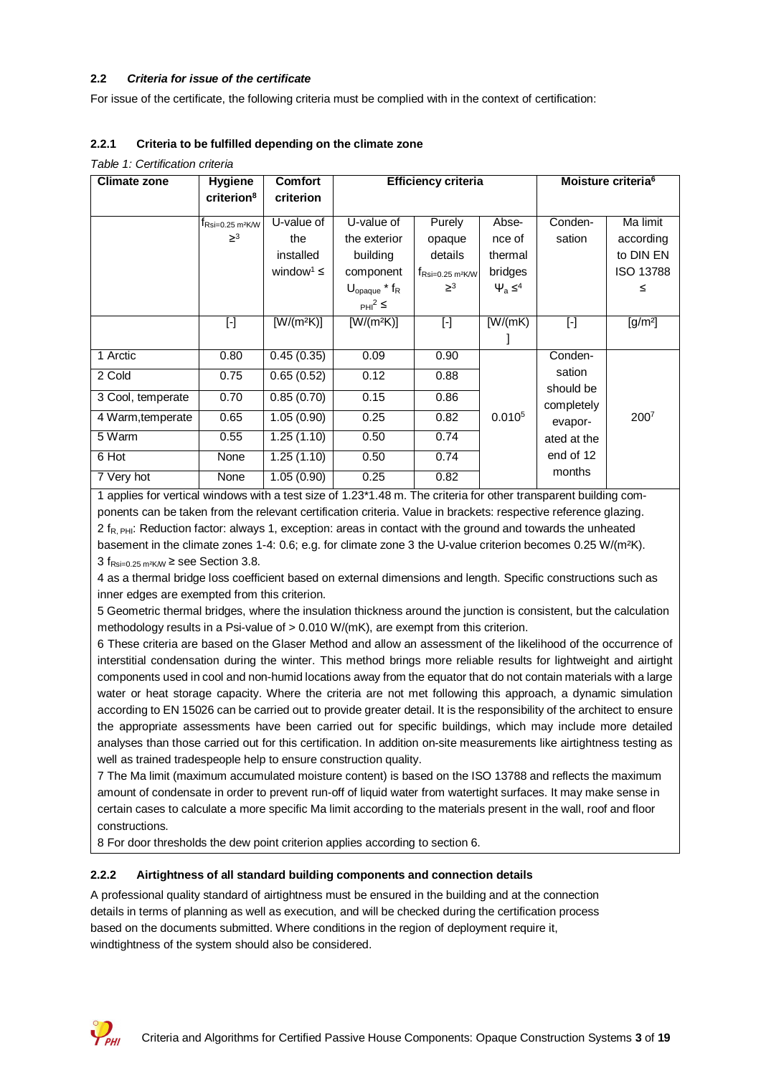#### **2.2** *Criteria for issue of the certificate*

For issue of the certificate, the following criteria must be complied with in the context of certification:

#### **2.2.1 Criteria to be fulfilled depending on the climate zone**

| <b>Climate zone</b> | <b>Hygiene</b>                               | <b>Comfort</b>             |                             | Efficiency criteria                        | Moisture criteria <sup>6</sup> |             |                  |  |
|---------------------|----------------------------------------------|----------------------------|-----------------------------|--------------------------------------------|--------------------------------|-------------|------------------|--|
|                     | criterion <sup>8</sup>                       | criterion                  |                             |                                            |                                |             |                  |  |
|                     | $t_{\text{Rsi}=0.25 \text{ m}^2 \text{K/W}}$ | U-value of                 | U-value of                  | Purely                                     | Abse-                          | Conden-     | Ma limit         |  |
|                     | $\geq$ <sup>3</sup>                          | the                        | the exterior                | opaque                                     | nce of                         | sation      | according        |  |
|                     |                                              | installed                  | building                    | details                                    | thermal                        |             | to DIN EN        |  |
|                     |                                              | window <sup>1</sup> $\leq$ | component                   | $t_{\text{Rsi}=0.25\text{ m}^2\text{K/W}}$ | bridges                        |             | <b>ISO 13788</b> |  |
|                     |                                              |                            | $U_{\text{opaque}}$ * $f_R$ | $\geq^3$                                   | $\Psi_a \leq^4$                |             | ≤                |  |
|                     |                                              |                            | $PHI^2 \leq$                |                                            |                                |             |                  |  |
|                     | $[\cdot]$                                    | $[W/(m^2K)]$               | $[W/(m^2K)]$                | $[\cdot]$                                  | [W/(mK)]                       | $[\cdot]$   | $[g/m^2]$        |  |
|                     |                                              |                            |                             |                                            |                                |             |                  |  |
| 1 Arctic            | 0.80                                         | 0.45(0.35)                 | 0.09                        | 0.90                                       |                                | Conden-     |                  |  |
| 2 Cold              | 0.75                                         | 0.65(0.52)                 | 0.12                        | 0.88                                       |                                | sation      |                  |  |
| 3 Cool, temperate   | 0.70                                         | 0.85(0.70)                 | 0.15                        | 0.86                                       |                                | should be   |                  |  |
|                     |                                              |                            |                             |                                            |                                | completely  |                  |  |
| 4 Warm, temperate   | 0.65                                         | 1.05(0.90)                 | 0.25                        | 0.82                                       | 0.010 <sup>5</sup>             | evapor-     | 2007             |  |
| $\overline{5}$ Warm | 0.55                                         | 1.25(1.10)                 | 0.50                        | 0.74                                       |                                | ated at the |                  |  |
| 6 Hot               | None                                         | 1.25(1.10)                 | 0.50                        | 0.74                                       |                                | end of 12   |                  |  |
| 7 Very hot          | None                                         | 1.05(0.90)                 | 0.25                        | 0.82                                       |                                | months      |                  |  |

*Table 1: Certification criteria*

1 applies for vertical windows with a test size of 1.23\*1.48 m. The criteria for other transparent building components can be taken from the relevant certification criteria. Value in brackets: respective reference glazing.  $2 f_{R, PHI}$ : Reduction factor: always 1, exception: areas in contact with the ground and towards the unheated basement in the climate zones 1-4: 0.6; e.g. for climate zone 3 the U-value criterion becomes 0.25 W/(m²K). 3  $f_{\text{Rsi}=0.25 \text{ m}^2 \text{K/W}}$   $\geq$  see Section 3.8.

4 as a thermal bridge loss coefficient based on external dimensions and length. Specific constructions such as inner edges are exempted from this criterion.

5 Geometric thermal bridges, where the insulation thickness around the junction is consistent, but the calculation methodology results in a Psi-value of > 0.010 W/(mK), are exempt from this criterion.

6 These criteria are based on the Glaser Method and allow an assessment of the likelihood of the occurrence of interstitial condensation during the winter. This method brings more reliable results for lightweight and airtight components used in cool and non-humid locations away from the equator that do not contain materials with a large water or heat storage capacity. Where the criteria are not met following this approach, a dynamic simulation according to EN 15026 can be carried out to provide greater detail. It is the responsibility of the architect to ensure the appropriate assessments have been carried out for specific buildings, which may include more detailed analyses than those carried out for this certification. In addition on-site measurements like airtightness testing as well as trained tradespeople help to ensure construction quality.

7 The Ma limit (maximum accumulated moisture content) is based on the ISO 13788 and reflects the maximum amount of condensate in order to prevent run-off of liquid water from watertight surfaces. It may make sense in certain cases to calculate a more specific Ma limit according to the materials present in the wall, roof and floor constructions.

8 For door thresholds the dew point criterion applies according to section 6.

#### **2.2.2 Airtightness of all standard building components and connection details**

A professional quality standard of airtightness must be ensured in the building and at the connection details in terms of planning as well as execution, and will be checked during the certification process based on the documents submitted. Where conditions in the region of deployment require it, windtightness of the system should also be considered.

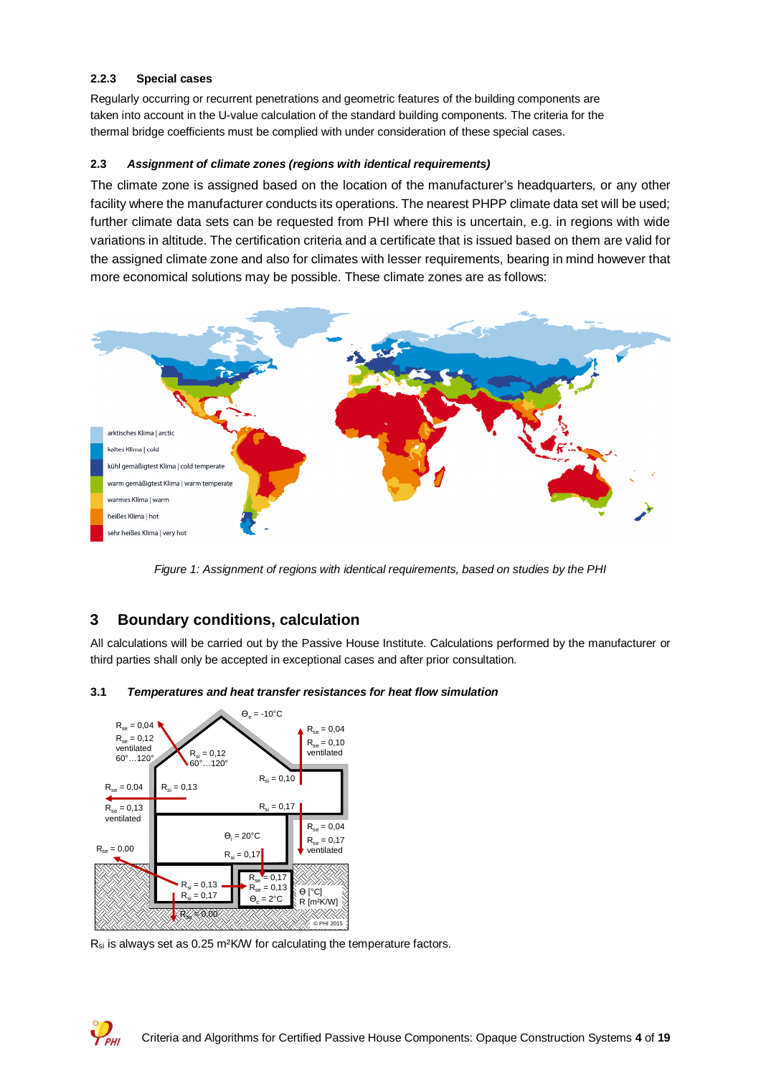#### **2.2.3 Special cases**

Regularly occurring or recurrent penetrations and geometric features of the building components are taken into account in the U-value calculation of the standard building components. The criteria for the thermal bridge coefficients must be complied with under consideration of these special cases.

#### **2.3** *Assignment of climate zones (regions with identical requirements)*

The climate zone is assigned based on the location of the manufacturer's headquarters, or any other facility where the manufacturer conducts its operations. The nearest PHPP climate data set will be used; further climate data sets can be requested from PHI where this is uncertain, e.g. in regions with wide variations in altitude. The certification criteria and a certificate that is issued based on them are valid for the assigned climate zone and also for climates with lesser requirements, bearing in mind however that more economical solutions may be possible. These climate zones are as follows:



*Figure 1: Assignment of regions with identical requirements, based on studies by the PHI*

### **3 Boundary conditions, calculation**

All calculations will be carried out by the Passive House Institute. Calculations performed by the manufacturer or third parties shall only be accepted in exceptional cases and after prior consultation.

**3.1** *Temperatures and heat transfer resistances for heat flow simulation*



 $V_{\rm BH}$ 

 $R_{si}$  is always set as 0.25 m<sup>2</sup>K/W for calculating the temperature factors.

Criteria and Algorithms for Certified Passive House Components: Opaque Construction Systems **4** of **19**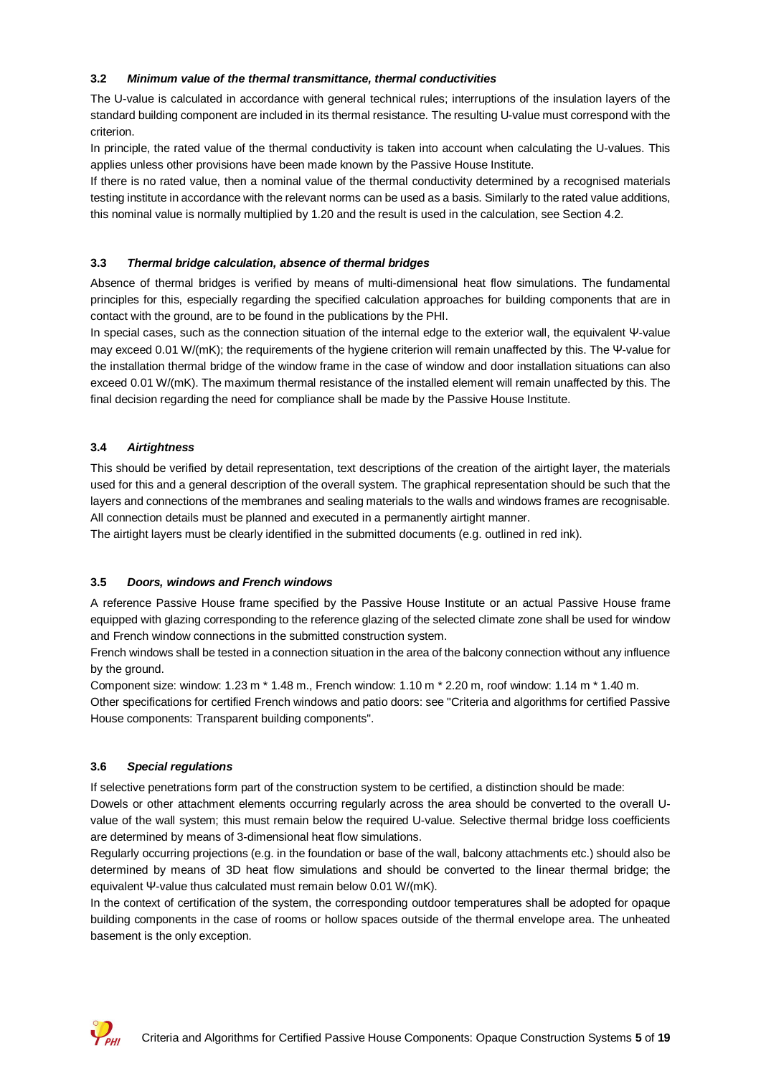#### **3.2** *Minimum value of the thermal transmittance, thermal conductivities*

The U-value is calculated in accordance with general technical rules; interruptions of the insulation layers of the standard building component are included in its thermal resistance. The resulting U-value must correspond with the criterion.

In principle, the rated value of the thermal conductivity is taken into account when calculating the U-values. This applies unless other provisions have been made known by the Passive House Institute.

If there is no rated value, then a nominal value of the thermal conductivity determined by a recognised materials testing institute in accordance with the relevant norms can be used as a basis. Similarly to the rated value additions, this nominal value is normally multiplied by 1.20 and the result is used in the calculation, see Section 4.2.

#### **3.3** *Thermal bridge calculation, absence of thermal bridges*

Absence of thermal bridges is verified by means of multi-dimensional heat flow simulations. The fundamental principles for this, especially regarding the specified calculation approaches for building components that are in contact with the ground, are to be found in the publications by the PHI.

In special cases, such as the connection situation of the internal edge to the exterior wall, the equivalent Ψ-value may exceed 0.01 W/(mK); the requirements of the hygiene criterion will remain unaffected by this. The Ψ-value for the installation thermal bridge of the window frame in the case of window and door installation situations can also exceed 0.01 W/(mK). The maximum thermal resistance of the installed element will remain unaffected by this. The final decision regarding the need for compliance shall be made by the Passive House Institute.

#### **3.4** *Airtightness*

This should be verified by detail representation, text descriptions of the creation of the airtight layer, the materials used for this and a general description of the overall system. The graphical representation should be such that the layers and connections of the membranes and sealing materials to the walls and windows frames are recognisable. All connection details must be planned and executed in a permanently airtight manner.

The airtight layers must be clearly identified in the submitted documents (e.g. outlined in red ink).

#### **3.5** *Doors, windows and French windows*

A reference Passive House frame specified by the Passive House Institute or an actual Passive House frame equipped with glazing corresponding to the reference glazing of the selected climate zone shall be used for window and French window connections in the submitted construction system.

French windows shall be tested in a connection situation in the area of the balcony connection without any influence by the ground.

Component size: window: 1.23 m \* 1.48 m., French window: 1.10 m \* 2.20 m, roof window: 1.14 m \* 1.40 m.

Other specifications for certified French windows and patio doors: see "Criteria and algorithms for certified Passive House components: Transparent building components".

#### **3.6** *Special regulations*

If selective penetrations form part of the construction system to be certified, a distinction should be made: Dowels or other attachment elements occurring regularly across the area should be converted to the overall Uvalue of the wall system; this must remain below the required U-value. Selective thermal bridge loss coefficients are determined by means of 3-dimensional heat flow simulations.

Regularly occurring projections (e.g. in the foundation or base of the wall, balcony attachments etc.) should also be determined by means of 3D heat flow simulations and should be converted to the linear thermal bridge; the equivalent Ψ-value thus calculated must remain below 0.01 W/(mK).

In the context of certification of the system, the corresponding outdoor temperatures shall be adopted for opaque building components in the case of rooms or hollow spaces outside of the thermal envelope area. The unheated basement is the only exception.

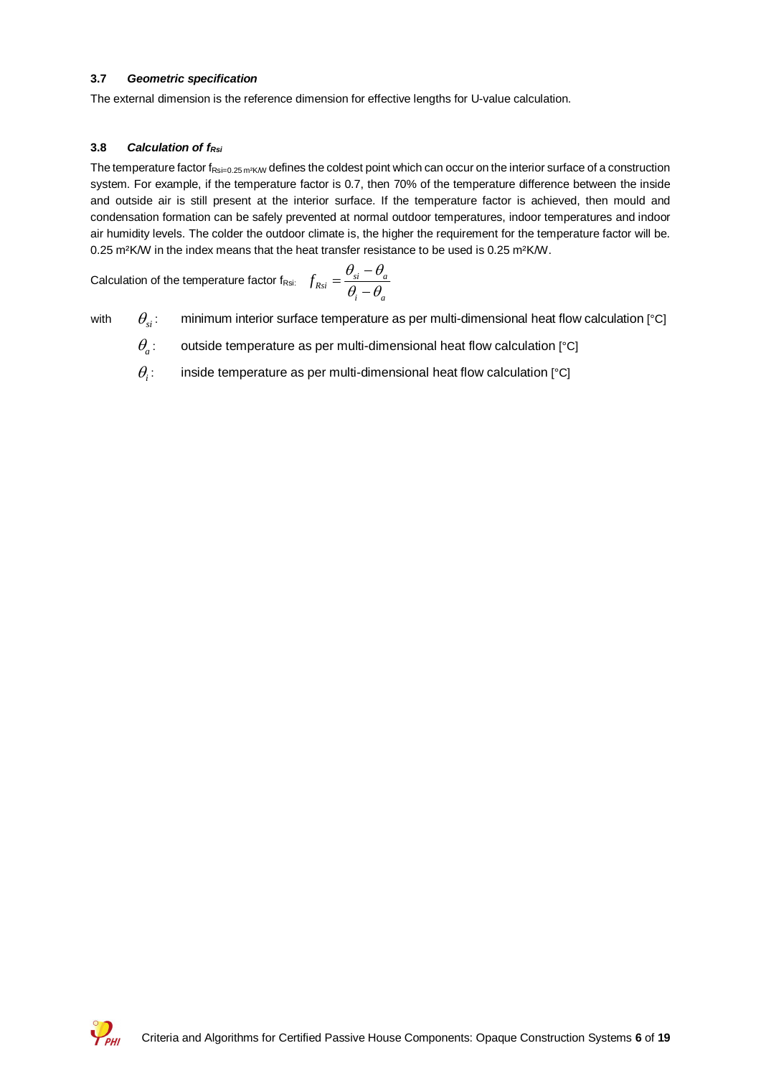#### **3.7** *Geometric specification*

The external dimension is the reference dimension for effective lengths for U-value calculation.

#### **3.8** *Calculation of fRsi*

The temperature factor  $f_{\text{Rsi}=0.25 \text{ m}^2 \text{K/W}}$  defines the coldest point which can occur on the interior surface of a construction system. For example, if the temperature factor is 0.7, then 70% of the temperature difference between the inside and outside air is still present at the interior surface. If the temperature factor is achieved, then mould and condensation formation can be safely prevented at normal outdoor temperatures, indoor temperatures and indoor air humidity levels. The colder the outdoor climate is, the higher the requirement for the temperature factor will be. 0.25 m²K/W in the index means that the heat transfer resistance to be used is 0.25 m²K/W.

Calculation of the temperature factor f<sub>Rsi:</sub> *i a*  $f_{Rsi} = \frac{\sigma_{si} - \sigma_a}{\theta - \theta_a}$  $\theta$  and  $-\theta$ -  $=\frac{\theta_{si}-\theta_{si}}{2}$ 

with  $\theta_{\alpha}$ : minimum interior surface temperature as per multi-dimensional heat flow calculation  $[^{\circ}C]$  $\theta_{si}$ :

- outside temperature as per multi-dimensional heat flow calculation [°C]  $\theta$ <sub>a</sub>:
- inside temperature as per multi-dimensional heat flow calculation [°C]  $\theta$ <sub>*i*</sub>:

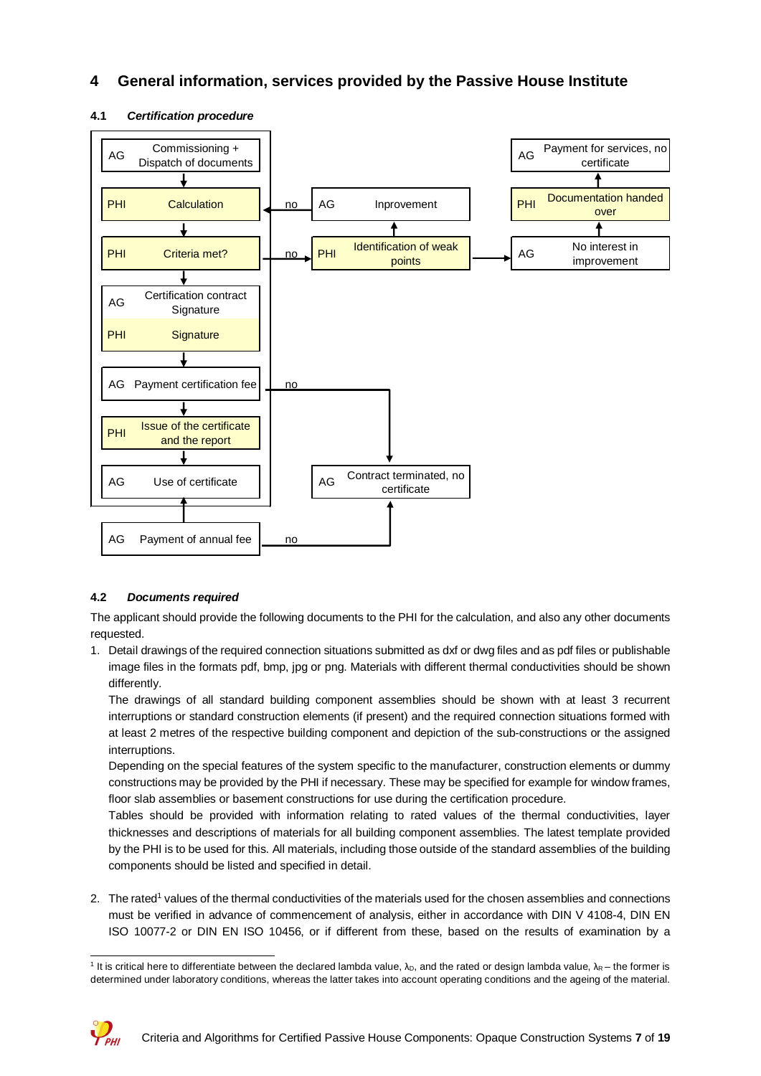## **4 General information, services provided by the Passive House Institute**



#### **4.1** *Certification procedure*

#### **4.2** *Documents required*

The applicant should provide the following documents to the PHI for the calculation, and also any other documents requested.

1. Detail drawings of the required connection situations submitted as dxf or dwg files and as pdf files or publishable image files in the formats pdf, bmp, jpg or png. Materials with different thermal conductivities should be shown differently.

The drawings of all standard building component assemblies should be shown with at least 3 recurrent interruptions or standard construction elements (if present) and the required connection situations formed with at least 2 metres of the respective building component and depiction of the sub-constructions or the assigned interruptions.

Depending on the special features of the system specific to the manufacturer, construction elements or dummy constructions may be provided by the PHI if necessary. These may be specified for example for window frames, floor slab assemblies or basement constructions for use during the certification procedure.

Tables should be provided with information relating to rated values of the thermal conductivities, layer thicknesses and descriptions of materials for all building component assemblies. The latest template provided by the PHI is to be used for this. All materials, including those outside of the standard assemblies of the building components should be listed and specified in detail.

2. The rated<sup>1</sup> values of the thermal conductivities of the materials used for the chosen assemblies and connections must be verified in advance of commencement of analysis, either in accordance with DIN V 4108-4, DIN EN ISO 10077-2 or DIN EN ISO 10456, or if different from these, based on the results of examination by a

<sup>&</sup>lt;sup>1</sup> It is critical here to differentiate between the declared lambda value, λ<sub>D</sub>, and the rated or design lambda value, λ<sub>R</sub> – the former is determined under laboratory conditions, whereas the latter takes into account operating conditions and the ageing of the material.

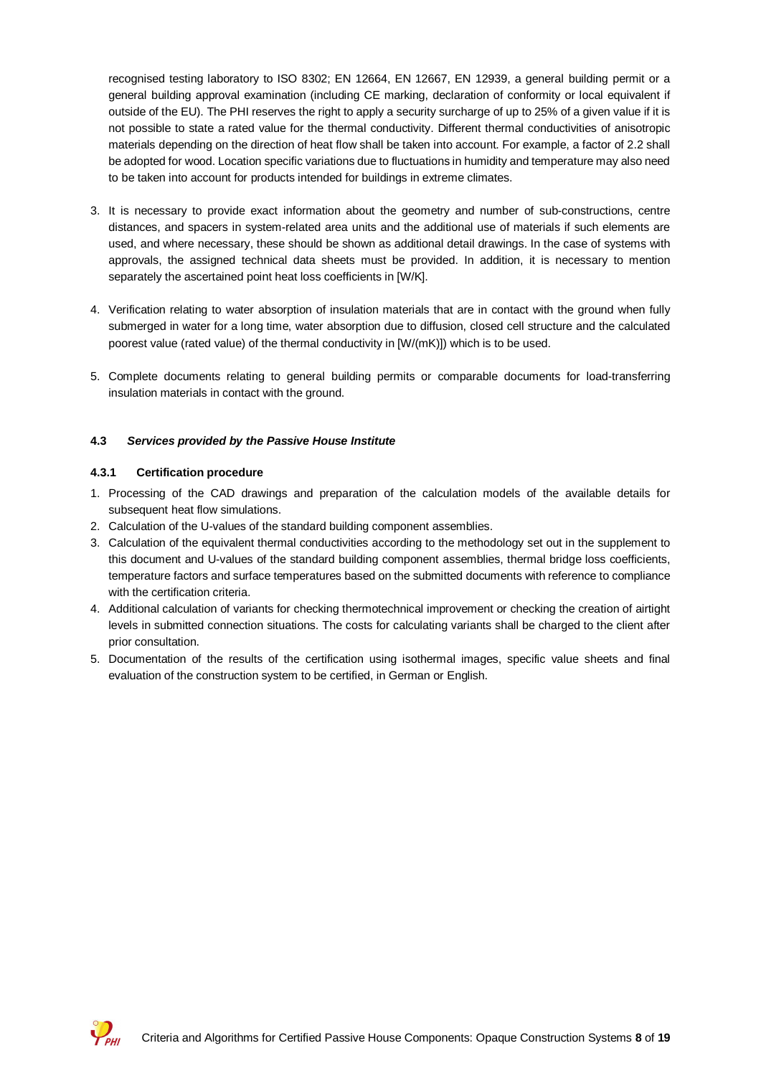recognised testing laboratory to ISO 8302; EN 12664, EN 12667, EN 12939, a general building permit or a general building approval examination (including CE marking, declaration of conformity or local equivalent if outside of the EU). The PHI reserves the right to apply a security surcharge of up to 25% of a given value if it is not possible to state a rated value for the thermal conductivity. Different thermal conductivities of anisotropic materials depending on the direction of heat flow shall be taken into account. For example, a factor of 2.2 shall be adopted for wood. Location specific variations due to fluctuations in humidity and temperature may also need to be taken into account for products intended for buildings in extreme climates.

- 3. It is necessary to provide exact information about the geometry and number of sub-constructions, centre distances, and spacers in system-related area units and the additional use of materials if such elements are used, and where necessary, these should be shown as additional detail drawings. In the case of systems with approvals, the assigned technical data sheets must be provided. In addition, it is necessary to mention separately the ascertained point heat loss coefficients in [W/K].
- 4. Verification relating to water absorption of insulation materials that are in contact with the ground when fully submerged in water for a long time, water absorption due to diffusion, closed cell structure and the calculated poorest value (rated value) of the thermal conductivity in [W/(mK)]) which is to be used.
- 5. Complete documents relating to general building permits or comparable documents for load-transferring insulation materials in contact with the ground.

#### **4.3** *Services provided by the Passive House Institute*

#### **4.3.1 Certification procedure**

- 1. Processing of the CAD drawings and preparation of the calculation models of the available details for subsequent heat flow simulations.
- 2. Calculation of the U-values of the standard building component assemblies.
- 3. Calculation of the equivalent thermal conductivities according to the methodology set out in the supplement to this document and U-values of the standard building component assemblies, thermal bridge loss coefficients, temperature factors and surface temperatures based on the submitted documents with reference to compliance with the certification criteria.
- 4. Additional calculation of variants for checking thermotechnical improvement or checking the creation of airtight levels in submitted connection situations. The costs for calculating variants shall be charged to the client after prior consultation.
- 5. Documentation of the results of the certification using isothermal images, specific value sheets and final evaluation of the construction system to be certified, in German or English.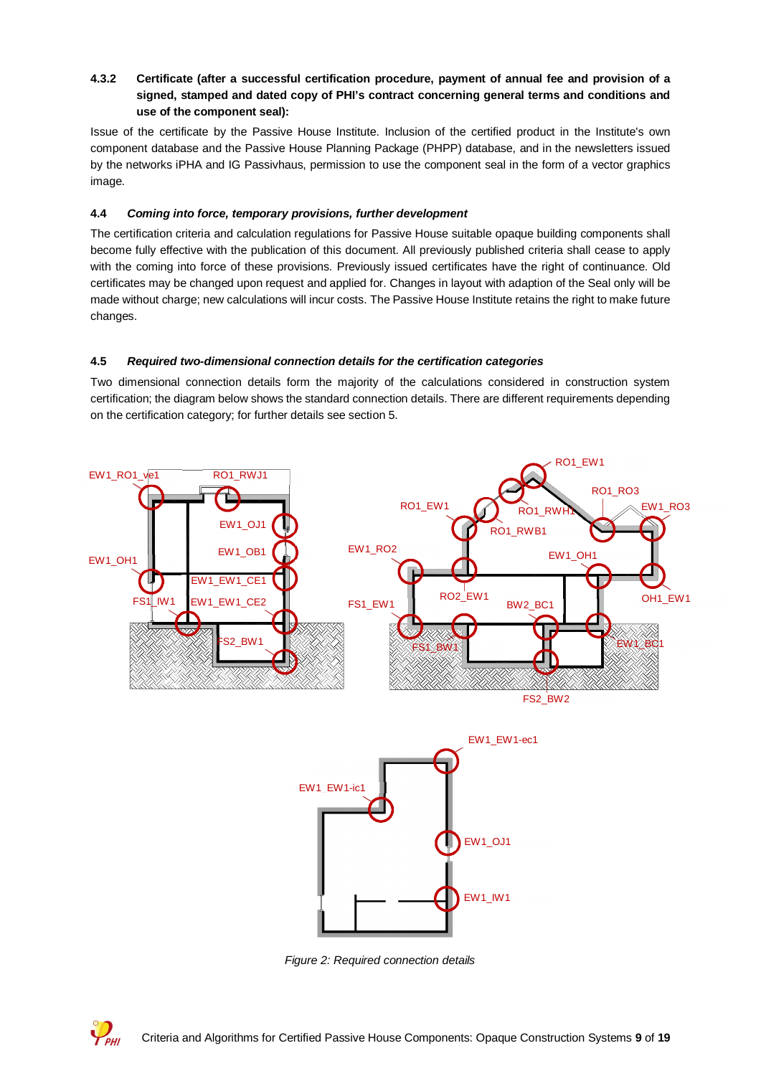#### **4.3.2 Certificate (after a successful certification procedure, payment of annual fee and provision of a signed, stamped and dated copy of PHI's contract concerning general terms and conditions and use of the component seal):**

Issue of the certificate by the Passive House Institute. Inclusion of the certified product in the Institute's own component database and the Passive House Planning Package (PHPP) database, and in the newsletters issued by the networks iPHA and IG Passivhaus, permission to use the component seal in the form of a vector graphics image.

#### **4.4** *Coming into force, temporary provisions, further development*

The certification criteria and calculation regulations for Passive House suitable opaque building components shall become fully effective with the publication of this document. All previously published criteria shall cease to apply with the coming into force of these provisions. Previously issued certificates have the right of continuance. Old certificates may be changed upon request and applied for. Changes in layout with adaption of the Seal only will be made without charge; new calculations will incur costs. The Passive House Institute retains the right to make future changes.

#### **4.5** *Required two-dimensional connection details for the certification categories*

Two dimensional connection details form the majority of the calculations considered in construction system certification; the diagram below shows the standard connection details. There are different requirements depending on the certification category; for further details see section 5.



*Figure 2: Required connection details*

 $V_{\nu\mu}$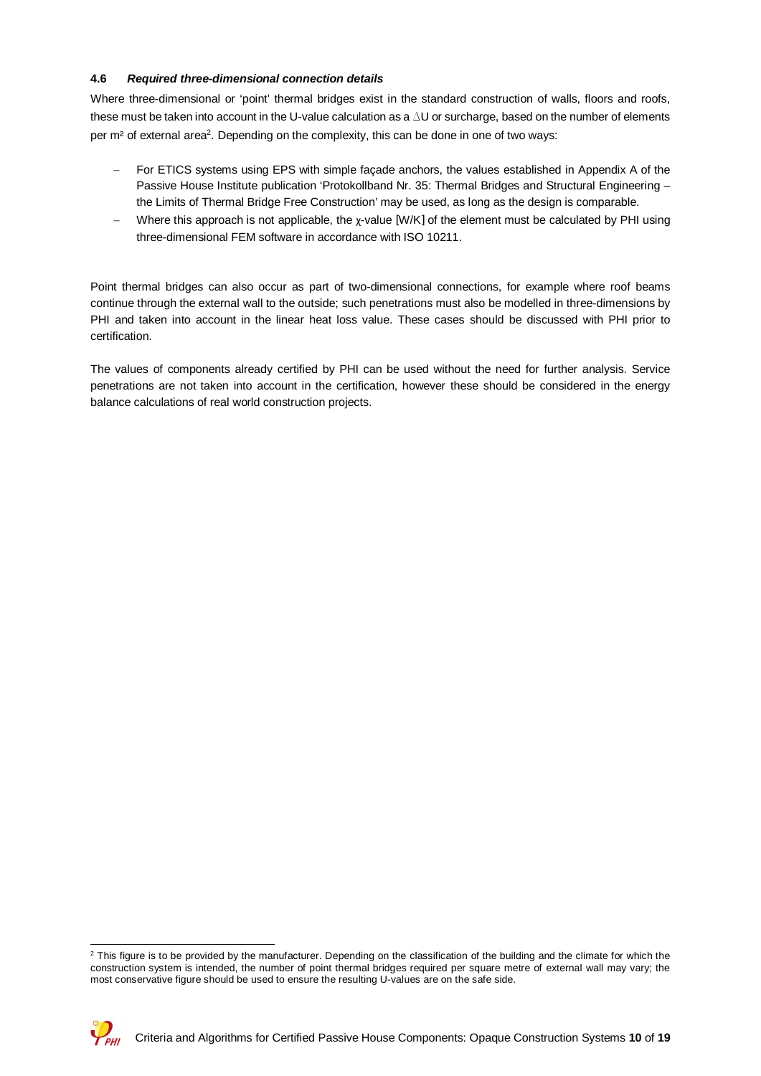#### **4.6** *Required three-dimensional connection details*

Where three-dimensional or 'point' thermal bridges exist in the standard construction of walls, floors and roofs, these must be taken into account in the U-value calculation as a  $\Delta$ U or surcharge, based on the number of elements per m<sup>2</sup> of external area<sup>2</sup>. Depending on the complexity, this can be done in one of two ways:

- For ETICS systems using EPS with simple facade anchors, the values established in Appendix A of the Passive House Institute publication 'Protokollband Nr. 35: Thermal Bridges and Structural Engineering – the Limits of Thermal Bridge Free Construction' may be used, as long as the design is comparable.
- Where this approach is not applicable, the χ-value [W/K] of the element must be calculated by PHI using three-dimensional FEM software in accordance with ISO 10211.

Point thermal bridges can also occur as part of two-dimensional connections, for example where roof beams continue through the external wall to the outside; such penetrations must also be modelled in three-dimensions by PHI and taken into account in the linear heat loss value. These cases should be discussed with PHI prior to certification.

The values of components already certified by PHI can be used without the need for further analysis. Service penetrations are not taken into account in the certification, however these should be considered in the energy balance calculations of real world construction projects.

 $^2$  This figure is to be provided by the manufacturer. Depending on the classification of the building and the climate for which the construction system is intended, the number of point thermal bridges required per square metre of external wall may vary; the most conservative figure should be used to ensure the resulting U-values are on the safe side.

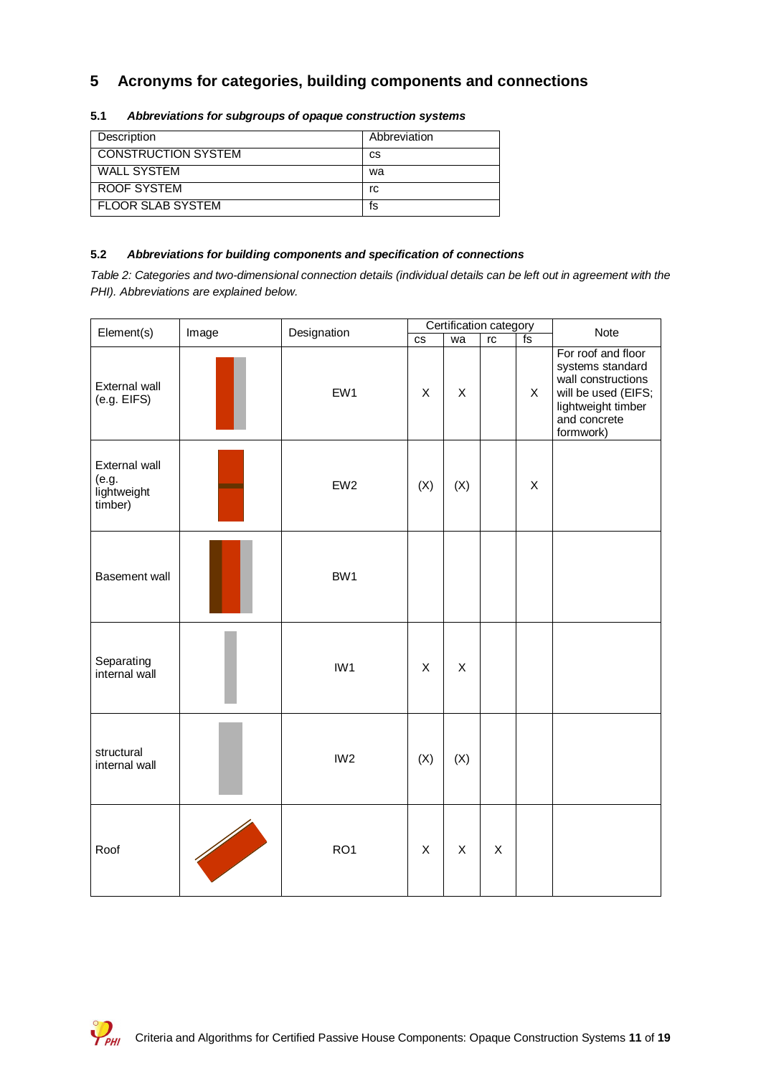## **5 Acronyms for categories, building components and connections**

| Description                | Abbreviation |
|----------------------------|--------------|
| <b>CONSTRUCTION SYSTEM</b> | СS           |
| WALL SYSTEM                | wa           |
| ROOF SYSTEM                | rc           |
| <b>FLOOR SLAB SYSTEM</b>   | ts           |

#### **5.1** *Abbreviations for subgroups of opaque construction systems*

#### **5.2** *Abbreviations for building components and specification of connections*

*Table 2: Categories and two-dimensional connection details (individual details can be left out in agreement with the PHI). Abbreviations are explained below.*

| Element(s)                                       | Image | Designation     |                      |     | Certification category |              | Note                                                                                                                                   |  |
|--------------------------------------------------|-------|-----------------|----------------------|-----|------------------------|--------------|----------------------------------------------------------------------------------------------------------------------------------------|--|
|                                                  |       |                 | $\mathsf{CS}\xspace$ | wa  | $\mathop{\mathsf{rc}}$ | $f_s$        |                                                                                                                                        |  |
| External wall<br>(e.g. EIFS)                     |       | EW1             | X                    | X   |                        | $\mathsf{X}$ | For roof and floor<br>systems standard<br>wall constructions<br>will be used (EIFS;<br>lightweight timber<br>and concrete<br>formwork) |  |
| External wall<br>(e.g.<br>lightweight<br>timber) |       | EW <sub>2</sub> | (X)                  | (X) |                        | X            |                                                                                                                                        |  |
| <b>Basement wall</b>                             |       | BW1             |                      |     |                        |              |                                                                                                                                        |  |
| Separating<br>internal wall                      |       | IW1             | X                    | X   |                        |              |                                                                                                                                        |  |
| structural<br>internal wall                      |       | IW <sub>2</sub> | (X)                  | (X) |                        |              |                                                                                                                                        |  |
| Roof                                             |       | RO <sub>1</sub> | X                    | X   | X                      |              |                                                                                                                                        |  |

 $\mathcal{P}_{\scriptscriptstyle\mathsf{PHI}}$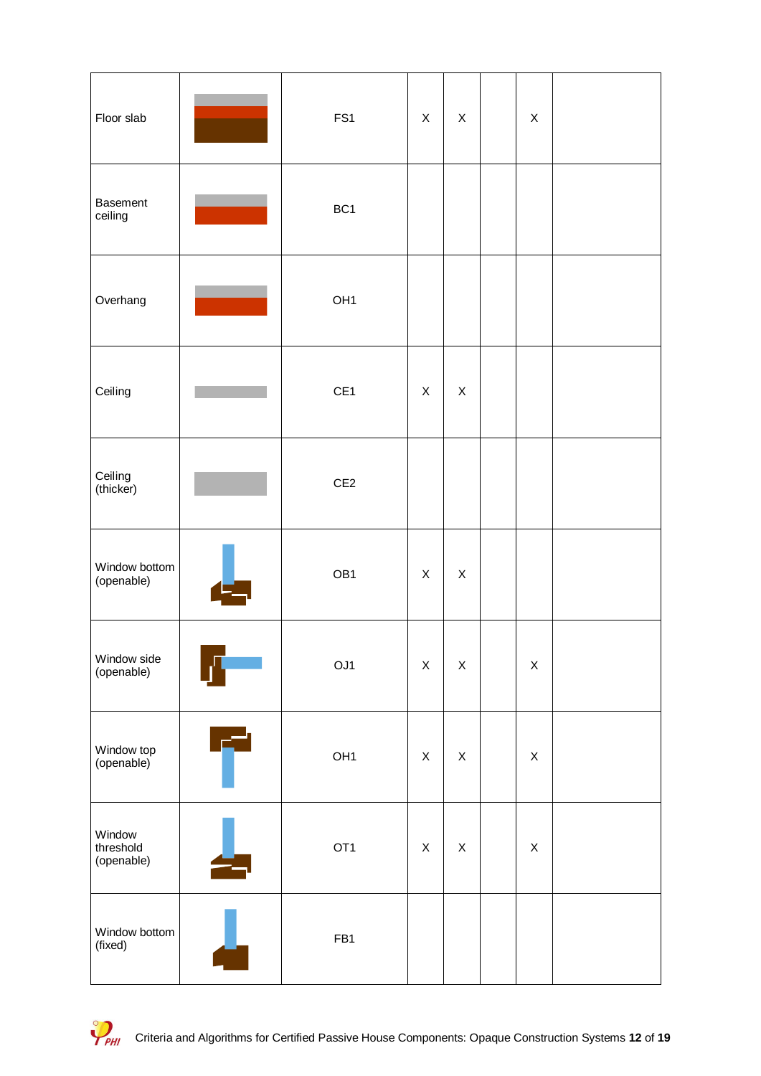| Floor slab                        |   | FS1             | X                         | X           | X           |  |
|-----------------------------------|---|-----------------|---------------------------|-------------|-------------|--|
| <b>Basement</b><br>ceiling        |   | BC <sub>1</sub> |                           |             |             |  |
| Overhang                          |   | OH <sub>1</sub> |                           |             |             |  |
| Ceiling                           |   | CE1             | X                         | X           |             |  |
| Ceiling<br>(thicker)              |   | CE2             |                           |             |             |  |
| Window bottom<br>(openable)       |   | OB1             | X                         | $\mathsf X$ |             |  |
| Window side<br>(openable)         |   | OJ1             | $\mathsf X$               | $\mathsf X$ | $\mathsf X$ |  |
| Window top<br>(openable)          | É | OH <sub>1</sub> | $\boldsymbol{\mathsf{X}}$ | X           | $\mathsf X$ |  |
| Window<br>threshold<br>(openable) |   | OT <sub>1</sub> | $\boldsymbol{\mathsf{X}}$ | $\mathsf X$ | $\mathsf X$ |  |
| Window bottom<br>(fixed)          |   | FB1             |                           |             |             |  |

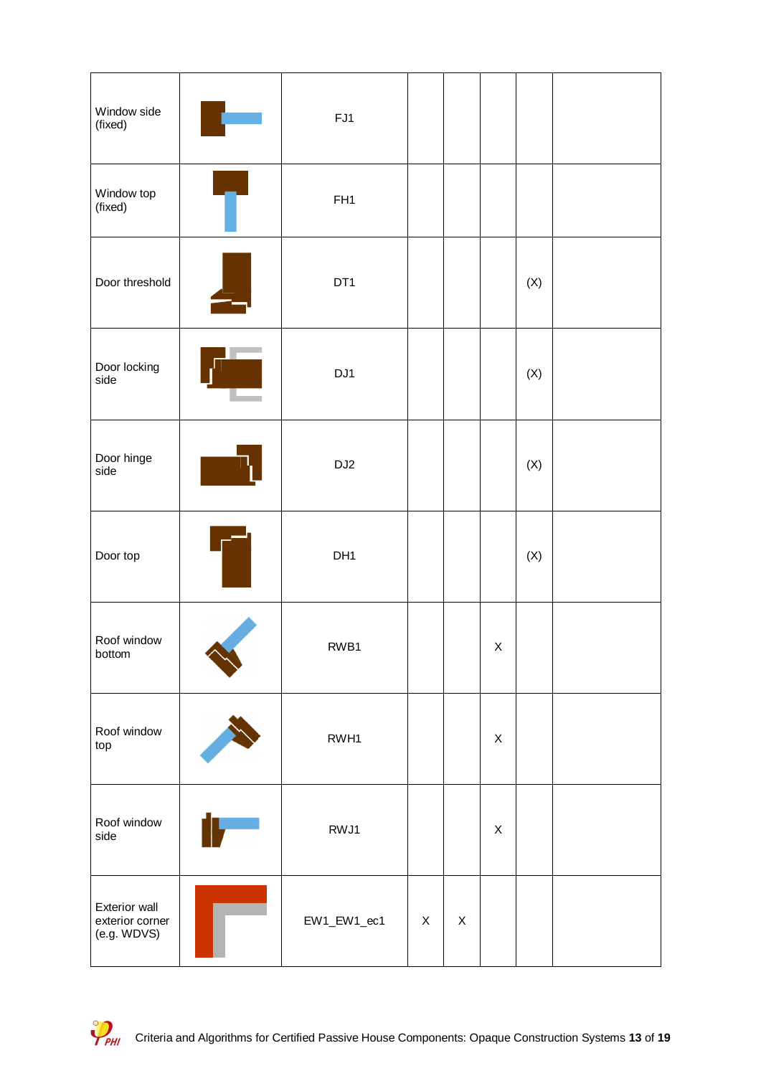| Window side<br>(fixed)                          | FJ1             |   |   |             |                |  |
|-------------------------------------------------|-----------------|---|---|-------------|----------------|--|
| Window top<br>(fixed)                           | FH <sub>1</sub> |   |   |             |                |  |
| Door threshold                                  | DT <sub>1</sub> |   |   |             | (X)            |  |
| Door locking<br>side                            | DJ1             |   |   |             | $(\mathsf{X})$ |  |
| Door hinge<br>side                              | DJ <sub>2</sub> |   |   |             | $(\mathsf{X})$ |  |
| Door top                                        | DH <sub>1</sub> |   |   |             | $(\mathsf{X})$ |  |
| Roof window<br>bottom                           | RWB1            |   |   | X           |                |  |
| Roof window<br>top                              | RWH1            |   |   | $\mathsf X$ |                |  |
| Roof window<br>side                             | RWJ1            |   |   | $\mathsf X$ |                |  |
| Exterior wall<br>exterior corner<br>(e.g. WDVS) | EW1_EW1_ec1     | X | X |             |                |  |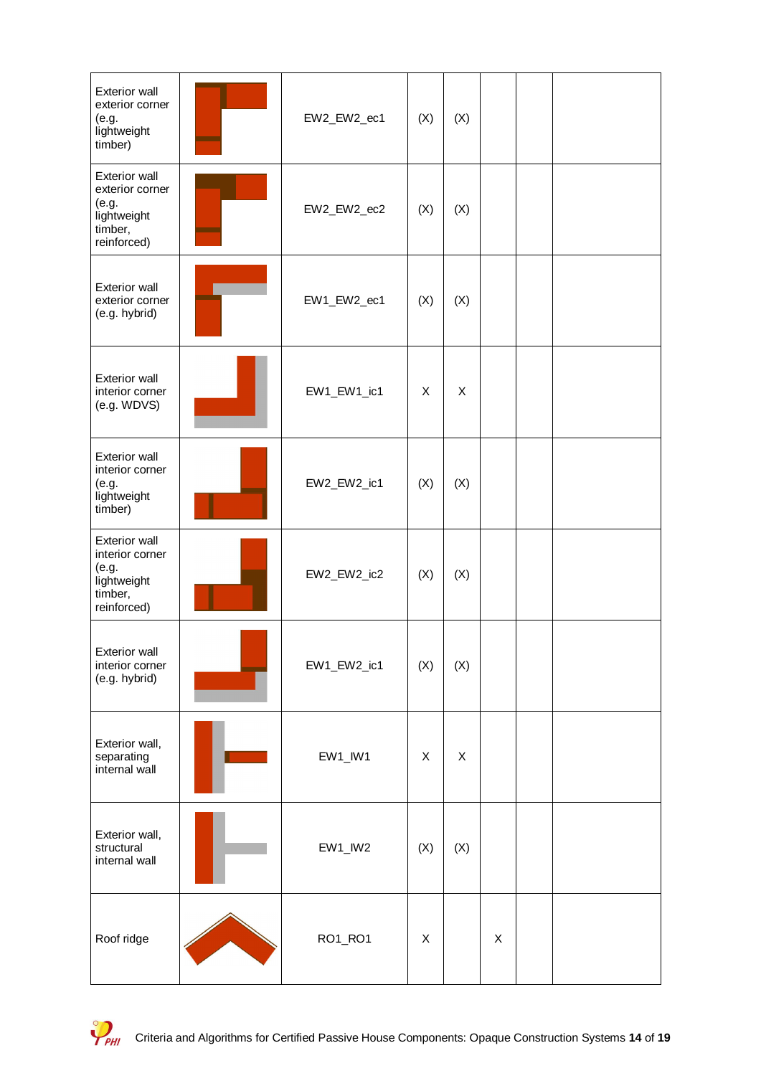| <b>Exterior wall</b><br>exterior corner<br>(e.g.<br>lightweight<br>timber)                | EW2_EW2_ec1   | (X) | (X) |   |  |
|-------------------------------------------------------------------------------------------|---------------|-----|-----|---|--|
| <b>Exterior wall</b><br>exterior corner<br>(e.g.<br>lightweight<br>timber,<br>reinforced) | EW2_EW2_ec2   | (X) | (X) |   |  |
| <b>Exterior wall</b><br>exterior corner<br>(e.g. hybrid)                                  | EW1_EW2_ec1   | (X) | (X) |   |  |
| <b>Exterior wall</b><br>interior corner<br>(e.g. WDVS)                                    | EW1_EW1_ic1   | X   | X   |   |  |
| <b>Exterior wall</b><br>interior corner<br>(e.g.<br>lightweight<br>timber)                | EW2_EW2_ic1   | (X) | (X) |   |  |
| <b>Exterior wall</b><br>interior corner<br>(e.g.<br>lightweight<br>timber,<br>reinforced) | EW2_EW2_ic2   | (X) | (X) |   |  |
| Exterior wall<br>interior corner<br>(e.g. hybrid)                                         | EW1_EW2_ic1   | (X) | (X) |   |  |
| Exterior wall,<br>separating<br>internal wall                                             | $EW1$ _ $W1$  | X   | X   |   |  |
| Exterior wall,<br>structural<br>internal wall                                             | $EW1$ _ $IW2$ | (X) | (X) |   |  |
| Roof ridge                                                                                | RO1_RO1       | X   |     | X |  |

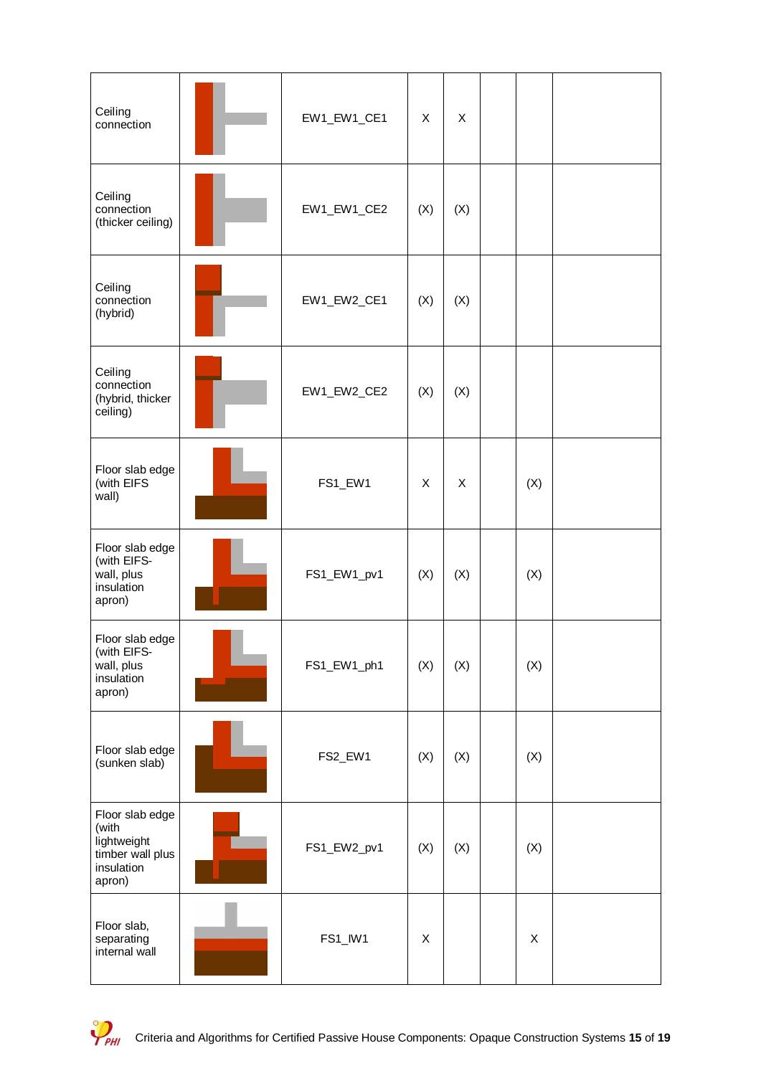| Ceiling<br>connection                                                               | EW1_EW1_CE1 | X                         | X   |     |  |
|-------------------------------------------------------------------------------------|-------------|---------------------------|-----|-----|--|
| Ceiling<br>connection<br>(thicker ceiling)                                          | EW1_EW1_CE2 | (X)                       | (X) |     |  |
| Ceiling<br>connection<br>(hybrid)                                                   | EW1_EW2_CE1 | (X)                       | (X) |     |  |
| Ceiling<br>connection<br>(hybrid, thicker<br>ceiling)                               | EW1_EW2_CE2 | (X)                       | (X) |     |  |
| Floor slab edge<br>(with EIFS<br>wall)                                              | FS1_EW1     | X                         | X   | (X) |  |
| Floor slab edge<br>(with EIFS-<br>wall, plus<br>insulation<br>apron)                | FS1_EW1_pv1 | (X)                       | (X) | (X) |  |
| Floor slab edge<br>(with EIFS-<br>wall, plus<br>insulation<br>apron)                | FS1_EW1_ph1 | (X)                       | (X) | (X) |  |
| Floor slab edge<br>(sunken slab)                                                    | FS2_EW1     | (X)                       | (X) | (X) |  |
| Floor slab edge<br>(with<br>lightweight<br>timber wall plus<br>insulation<br>apron) | FS1_EW2_pv1 | (X)                       | (X) | (X) |  |
| Floor slab,<br>separating<br>internal wall                                          | FS1_IW1     | $\boldsymbol{\mathsf{X}}$ |     | X   |  |

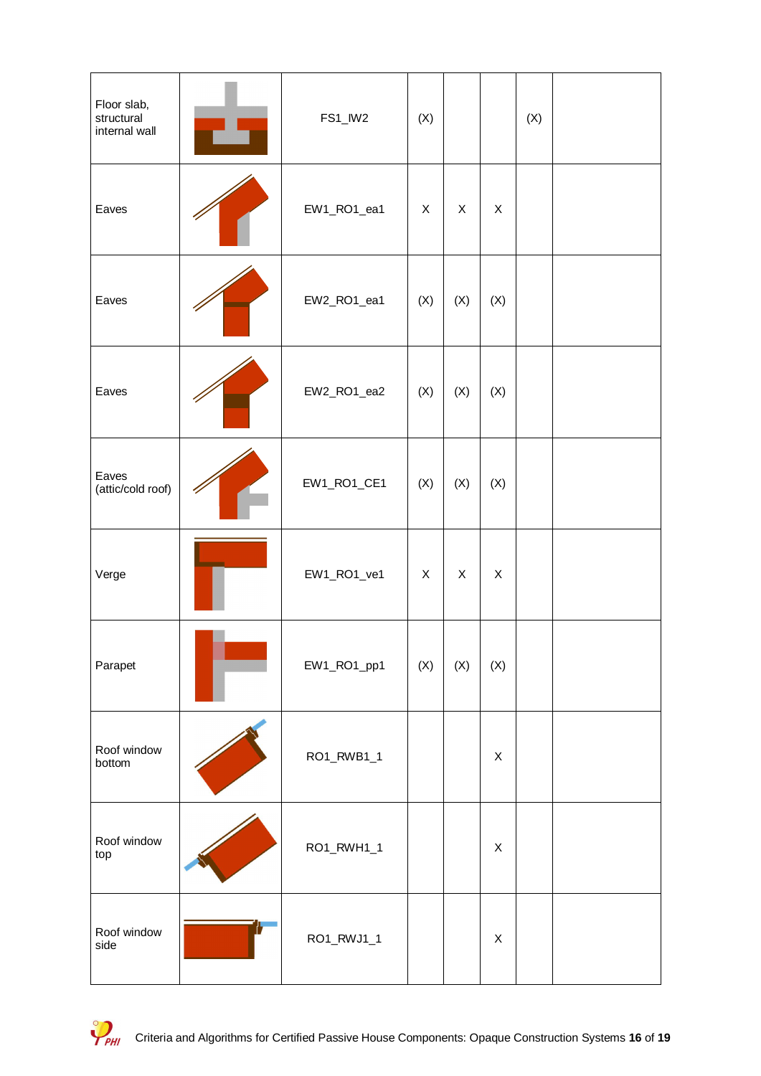| Floor slab,<br>structural<br>internal wall | FS1_IW2     | (X)            |     |             | (X) |  |
|--------------------------------------------|-------------|----------------|-----|-------------|-----|--|
| Eaves                                      | EW1_RO1_ea1 | X              | X   | X           |     |  |
| Eaves                                      | EW2_RO1_ea1 | (X)            | (X) | (X)         |     |  |
| Eaves                                      | EW2_RO1_ea2 | (X)            | (X) | (X)         |     |  |
| Eaves<br>(attic/cold roof)                 | EW1_RO1_CE1 | (X)            | (X) | (X)         |     |  |
| Verge                                      | EW1_RO1_ve1 | X              | X   | X           |     |  |
| Parapet                                    | EW1_RO1_pp1 | $(\mathsf{X})$ | (X) | (X)         |     |  |
| Roof window<br>bottom                      | RO1_RWB1_1  |                |     | X           |     |  |
| Roof window<br>top                         | RO1_RWH1_1  |                |     | X           |     |  |
| Roof window<br>side                        | RO1_RWJ1_1  |                |     | $\mathsf X$ |     |  |

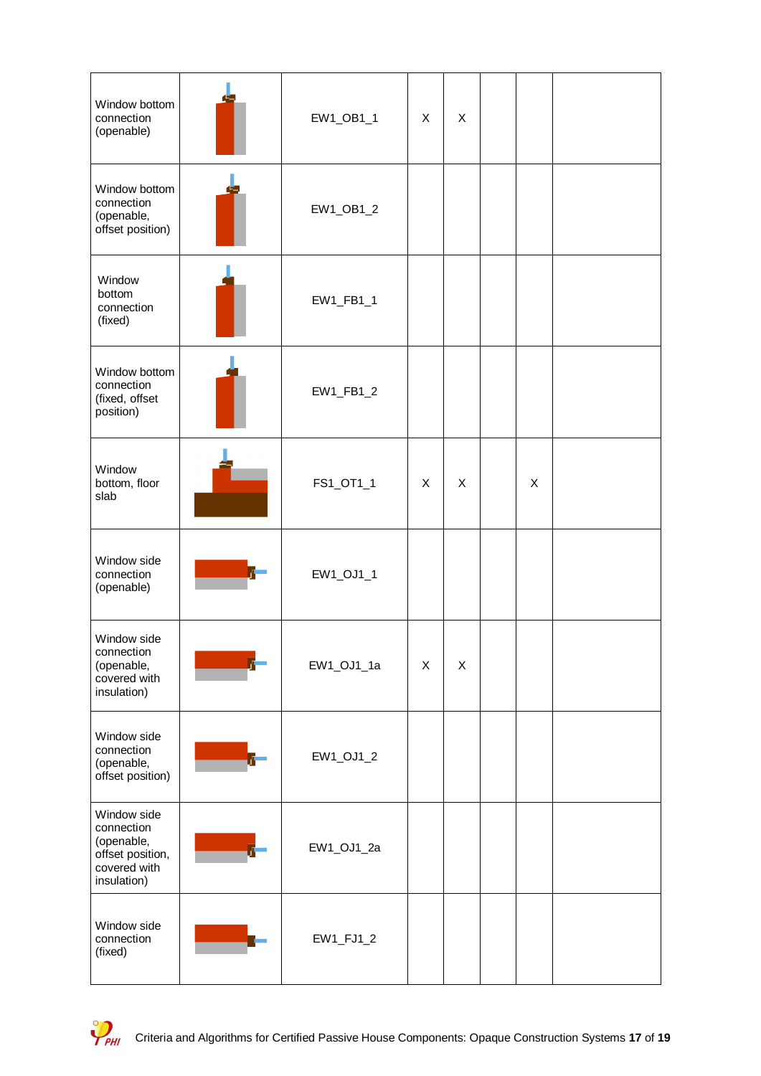| Window bottom<br>connection<br>(openable)                                                  | EW1_OB1_1  | X | X |   |  |
|--------------------------------------------------------------------------------------------|------------|---|---|---|--|
| Window bottom<br>connection<br>(openable,<br>offset position)                              | EW1_OB1_2  |   |   |   |  |
| Window<br>bottom<br>connection<br>(fixed)                                                  | EW1_FB1_1  |   |   |   |  |
| Window bottom<br>connection<br>(fixed, offset<br>position)                                 | EW1_FB1_2  |   |   |   |  |
| Window<br>bottom, floor<br>slab                                                            | FS1_OT1_1  | X | X | X |  |
| Window side<br>connection<br>(openable)                                                    | EW1_OJ1_1  |   |   |   |  |
| Window side<br>connection<br>(openable,<br>covered with<br>insulation)                     | EW1_OJ1_1a | X | X |   |  |
| Window side<br>connection<br>(openable,<br>offset position)                                | EW1_OJ1_2  |   |   |   |  |
| Window side<br>connection<br>(openable,<br>offset position,<br>covered with<br>insulation) | EW1_OJ1_2a |   |   |   |  |
| Window side<br>connection<br>(fixed)                                                       | EW1_FJ1_2  |   |   |   |  |

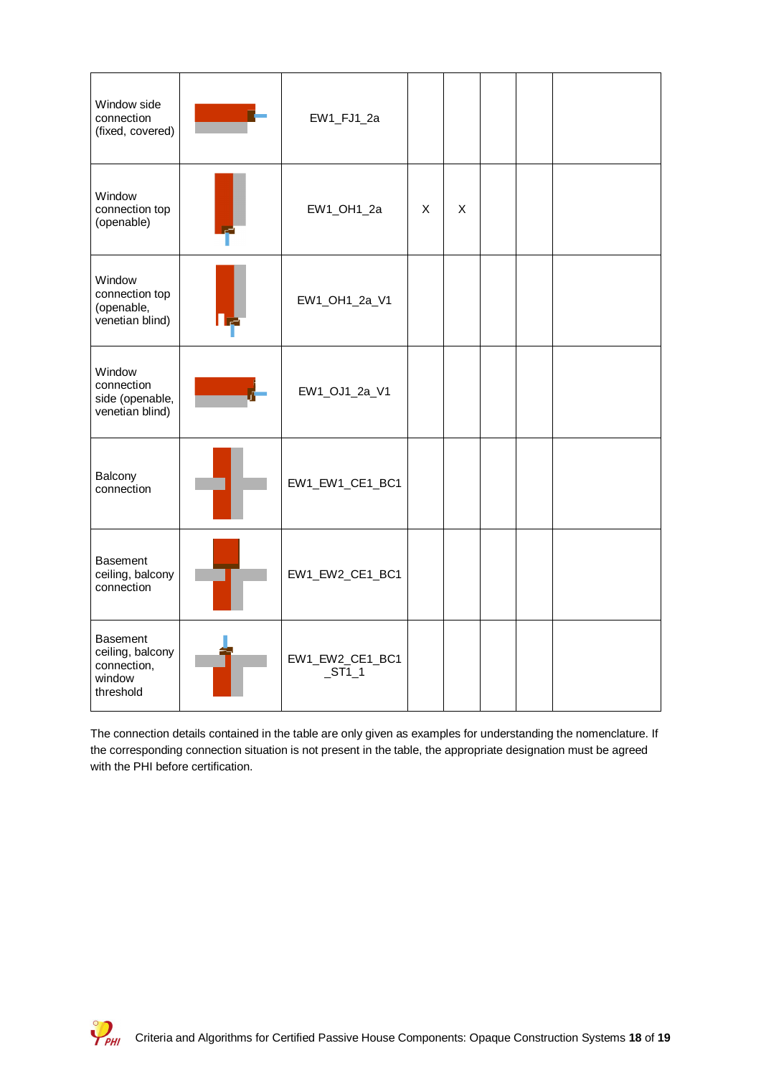| Window side<br>connection<br>(fixed, covered)                             | EW1_FJ1_2a                        |   |   |  |  |
|---------------------------------------------------------------------------|-----------------------------------|---|---|--|--|
| Window<br>connection top<br>(openable)                                    | EW1_OH1_2a                        | X | X |  |  |
| Window<br>connection top<br>(openable,<br>venetian blind)                 | EW1_OH1_2a_V1                     |   |   |  |  |
| Window<br>connection<br>side (openable,<br>venetian blind)                | EW1_OJ1_2a_V1                     |   |   |  |  |
| Balcony<br>connection                                                     | EW1_EW1_CE1_BC1                   |   |   |  |  |
| <b>Basement</b><br>ceiling, balcony<br>connection                         | EW1_EW2_CE1_BC1                   |   |   |  |  |
| <b>Basement</b><br>ceiling, balcony<br>connection,<br>window<br>threshold | EW1_EW2_CE1_BC1<br>S <sub>1</sub> |   |   |  |  |

The connection details contained in the table are only given as examples for understanding the nomenclature. If the corresponding connection situation is not present in the table, the appropriate designation must be agreed with the PHI before certification.